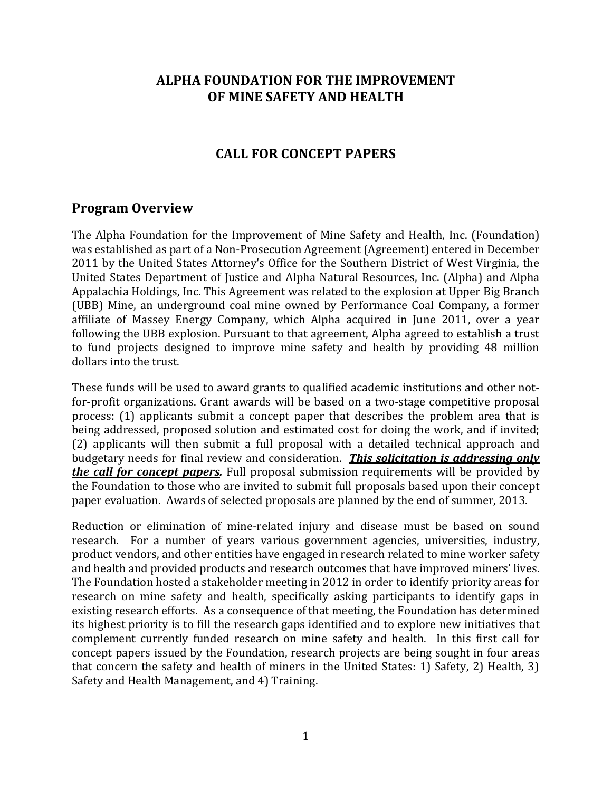## **ALPHA FOUNDATION FOR THE IMPROVEMENT OF MINE SAFETY AND HEALTH**

### **CALL FOR CONCEPT PAPERS**

#### **Program Overview**

The Alpha Foundation for the Improvement of Mine Safety and Health, Inc. (Foundation) was established as part of a Non-Prosecution Agreement (Agreement) entered in December 2011 by the United States Attorney's Office for the Southern District of West Virginia, the United States Department of Justice and Alpha Natural Resources, Inc. (Alpha) and Alpha Appalachia Holdings, Inc. This Agreement was related to the explosion at Upper Big Branch (UBB) Mine, an underground coal mine owned by Performance Coal Company, a former affiliate of Massey Energy Company, which Alpha acquired in June 2011, over a year following the UBB explosion. Pursuant to that agreement, Alpha agreed to establish a trust to fund projects designed to improve mine safety and health by providing 48 million dollars into the trust.

These funds will be used to award grants to qualified academic institutions and other notfor-profit organizations. Grant awards will be based on a two-stage competitive proposal process: (1) applicants submit a concept paper that describes the problem area that is being addressed, proposed solution and estimated cost for doing the work, and if invited; (2) applicants will then submit a full proposal with a detailed technical approach and budgetary needs for final review and consideration. *This solicitation is addressing only the call for concept papers.* Full proposal submission requirements will be provided by the Foundation to those who are invited to submit full proposals based upon their concept paper evaluation. Awards of selected proposals are planned by the end of summer, 2013.

Reduction or elimination of mine-related injury and disease must be based on sound research. For a number of years various government agencies, universities, industry, product vendors, and other entities have engaged in research related to mine worker safety and health and provided products and research outcomes that have improved miners' lives. The Foundation hosted a stakeholder meeting in 2012 in order to identify priority areas for research on mine safety and health, specifically asking participants to identify gaps in existing research efforts. As a consequence of that meeting, the Foundation has determined its highest priority is to fill the research gaps identified and to explore new initiatives that complement currently funded research on mine safety and health. In this first call for concept papers issued by the Foundation, research projects are being sought in four areas that concern the safety and health of miners in the United States: 1) Safety, 2) Health, 3) Safety and Health Management, and 4) Training.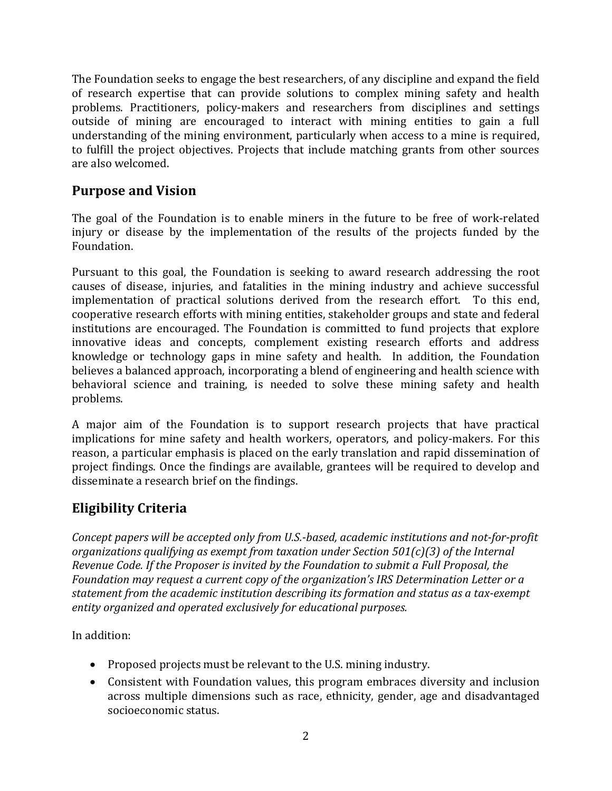The Foundation seeks to engage the best researchers, of any discipline and expand the field of research expertise that can provide solutions to complex mining safety and health problems. Practitioners, policy-makers and researchers from disciplines and settings outside of mining are encouraged to interact with mining entities to gain a full understanding of the mining environment, particularly when access to a mine is required, to fulfill the project objectives. Projects that include matching grants from other sources are also welcomed.

# **Purpose and Vision**

The goal of the Foundation is to enable miners in the future to be free of work-related injury or disease by the implementation of the results of the projects funded by the Foundation. 

Pursuant to this goal, the Foundation is seeking to award research addressing the root causes of disease, injuries, and fatalities in the mining industry and achieve successful implementation of practical solutions derived from the research effort. To this end, cooperative research efforts with mining entities, stakeholder groups and state and federal institutions are encouraged. The Foundation is committed to fund projects that explore innovative ideas and concepts, complement existing research efforts and address knowledge or technology gaps in mine safety and health. In addition, the Foundation believes a balanced approach, incorporating a blend of engineering and health science with behavioral science and training, is needed to solve these mining safety and health problems. 

A major aim of the Foundation is to support research projects that have practical implications for mine safety and health workers, operators, and policy-makers. For this reason, a particular emphasis is placed on the early translation and rapid dissemination of project findings. Once the findings are available, grantees will be required to develop and disseminate a research brief on the findings.

# **Eligibility Criteria**

*Concept papers will be accepted only from U.S.‐based, academic institutions and not‐for‐profit organizations qualifying as exempt from taxation under Section 501(c)(3) of the Internal Revenue Code. If the Proposer is invited by the Foundation to submit a Full Proposal, the Foundation may request a current copy of the organization's IRS Determination Letter or a statement from the academic institution describing its formation and status as a tax‐exempt entity organized and operated exclusively for educational purposes.*

In addition:

- Proposed projects must be relevant to the U.S. mining industry.
- Consistent with Foundation values, this program embraces diversity and inclusion across multiple dimensions such as race, ethnicity, gender, age and disadvantaged socioeconomic status.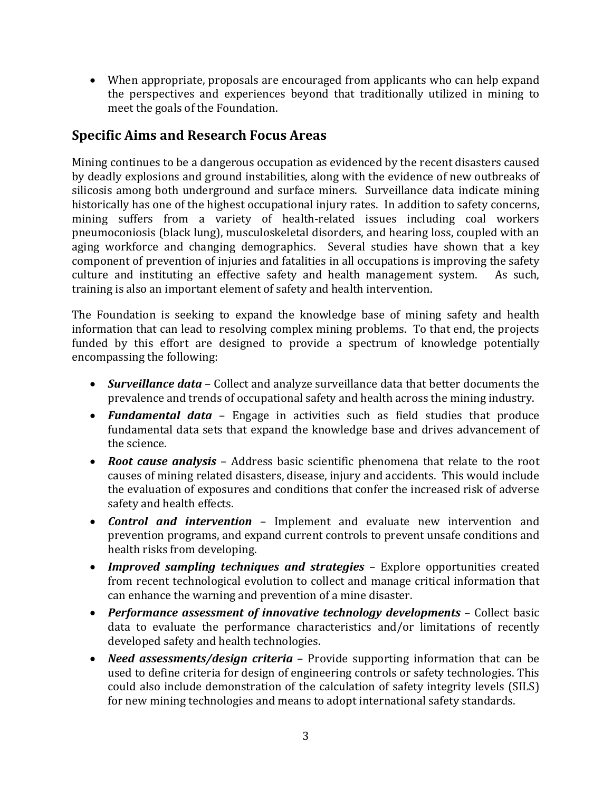• When appropriate, proposals are encouraged from applicants who can help expand the perspectives and experiences beyond that traditionally utilized in mining to meet the goals of the Foundation.

## **Specific Aims and Research Focus Areas**

Mining continues to be a dangerous occupation as evidenced by the recent disasters caused by deadly explosions and ground instabilities, along with the evidence of new outbreaks of silicosis among both underground and surface miners. Surveillance data indicate mining historically has one of the highest occupational injury rates. In addition to safety concerns, mining suffers from a variety of health-related issues including coal workers pneumoconiosis (black lung), musculoskeletal disorders, and hearing loss, coupled with an aging workforce and changing demographics. Several studies have shown that a key component of prevention of injuries and fatalities in all occupations is improving the safety culture and instituting an effective safety and health management system. As such, training is also an important element of safety and health intervention.

The Foundation is seeking to expand the knowledge base of mining safety and health information that can lead to resolving complex mining problems. To that end, the projects funded by this effort are designed to provide a spectrum of knowledge potentially encompassing the following:

- **Surveillance data** Collect and analyze surveillance data that better documents the prevalence and trends of occupational safety and health across the mining industry.
- *Fundamental data* Engage in activities such as field studies that produce fundamental data sets that expand the knowledge base and drives advancement of the science.
- **Root cause analysis** Address basic scientific phenomena that relate to the root causes of mining related disasters, disease, injury and accidents. This would include the evaluation of exposures and conditions that confer the increased risk of adverse safety and health effects.
- **Control and intervention** Implement and evaluate new intervention and prevention programs, and expand current controls to prevent unsafe conditions and health risks from developing.
- *Improved sampling techniques and strategies* Explore opportunities created from recent technological evolution to collect and manage critical information that can enhance the warning and prevention of a mine disaster.
- data to evaluate the performance characteristics and/or limitations of recently developed safety and health technologies. • Performance assessment of *innovative technology developments* – Collect basic
- *Need assessments/design criteria* Provide supporting information that can be used to define criteria for design of engineering controls or safety technologies. This could also include demonstration of the calculation of safety integrity levels (SILS) for new mining technologies and means to adopt international safety standards.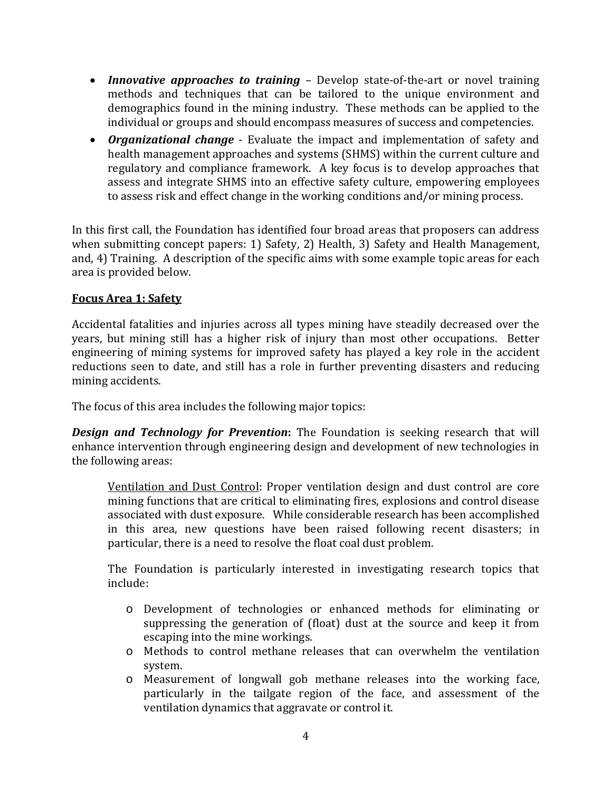- *Innovative approaches to training* Develop state-of-the-art or novel training methods and techniques that can be tailored to the unique environment and demographics found in the mining industry. These methods can be applied to the individual or groups and should encompass measures of success and competencies.
- *Organizational change* Evaluate the impact and implementation of safety and health management approaches and systems (SHMS) within the current culture and regulatory and compliance framework. A key focus is to develop approaches that assess and integrate SHMS into an effective safety culture, empowering employees to assess risk and effect change in the working conditions and/or mining process.

In this first call, the Foundation has identified four broad areas that proposers can address when submitting concept papers: 1) Safety, 2) Health, 3) Safety and Health Management, and, 4) Training. A description of the specific aims with some example topic areas for each area is provided below.

#### **Focus Area 1: Safety**

Accidental fatalities and injuries across all types mining have steadily decreased over the years, but mining still has a higher risk of injury than most other occupations. Better engineering of mining systems for improved safety has played a key role in the accident reductions seen to date, and still has a role in further preventing disasters and reducing mining accidents.

The focus of this area includes the following major topics:

**Design and Technology for Prevention:** The Foundation is seeking research that will enhance intervention through engineering design and development of new technologies in the following areas:

Ventilation and Dust Control: Proper ventilation design and dust control are core mining functions that are critical to eliminating fires, explosions and control disease associated with dust exposure. While considerable research has been accomplished in this area, new questions have been raised following recent disasters; in particular, there is a need to resolve the float coal dust problem.

The Foundation is particularly interested in investigating research topics that include:

- o Development of technologies or enhanced methods for eliminating or suppressing the generation of (float) dust at the source and keep it from escaping into the mine workings.
- $\circ$  Methods to control methane releases that can overwhelm the ventilation system.
- $\circ$  Measurement of longwall gob methane releases into the working face, particularly in the tailgate region of the face, and assessment of the ventilation dynamics that aggravate or control it.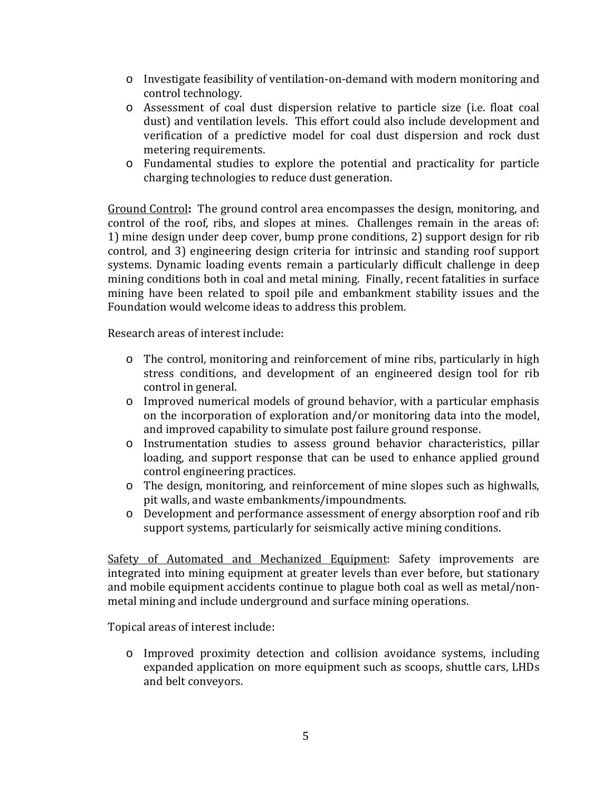- $\circ$  Investigate feasibility of ventilation-on-demand with modern monitoring and control technology.
- o Assessment of coal dust dispersion relative to particle size (i.e. float coal dust) and ventilation levels. This effort could also include development and verification of a predictive model for coal dust dispersion and rock dust metering requirements.
- o Fundamental studies to explore the potential and practicality for particle charging technologies to reduce dust generation.

Ground Control: The ground control area encompasses the design, monitoring, and control of the roof, ribs, and slopes at mines. Challenges remain in the areas of: 1) mine design under deep cover, bump prone conditions, 2) support design for rib control, and 3) engineering design criteria for intrinsic and standing roof support systems. Dynamic loading events remain a particularly difficult challenge in deep mining conditions both in coal and metal mining. Finally, recent fatalities in surface mining have been related to spoil pile and embankment stability issues and the Foundation would welcome ideas to address this problem.

Research areas of interest include:

- $\circ$  The control, monitoring and reinforcement of mine ribs, particularly in high stress conditions, and development of an engineered design tool for rib control in general.
- $\circ$  Improved numerical models of ground behavior, with a particular emphasis on the incorporation of exploration and/or monitoring data into the model, and improved capability to simulate post failure ground response.
- o Instrumentation studies to assess ground behavior characteristics, pillar loading, and support response that can be used to enhance applied ground control engineering practices.
- o The design, monitoring, and reinforcement of mine slopes such as highwalls, pit walls, and waste embankments/impoundments.
- o Development and performance assessment of energy absorption roof and rib support systems, particularly for seismically active mining conditions.

Safety of Automated and Mechanized Equipment: Safety improvements are integrated into mining equipment at greater levels than ever before, but stationary and mobile equipment accidents continue to plague both coal as well as metal/nonmetal mining and include underground and surface mining operations.

Topical areas of interest include:

o Improved proximity detection and collision avoidance systems, including expanded application on more equipment such as scoops, shuttle cars, LHDs and belt conveyors.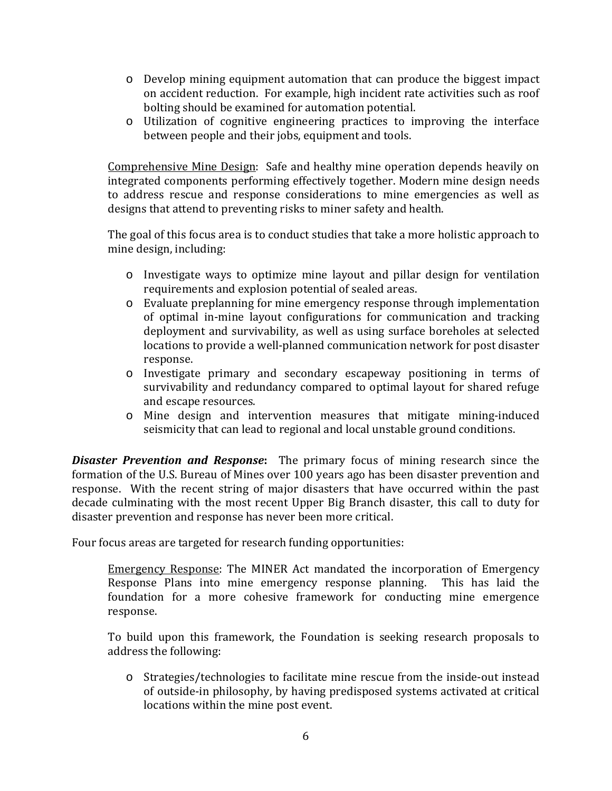- $\circ$  Develop mining equipment automation that can produce the biggest impact on accident reduction. For example, high incident rate activities such as roof bolting should be examined for automation potential.
- $\circ$  Utilization of cognitive engineering practices to improving the interface between people and their jobs, equipment and tools.

Comprehensive Mine Design: Safe and healthy mine operation depends heavily on integrated components performing effectively together. Modern mine design needs to address rescue and response considerations to mine emergencies as well as designs that attend to preventing risks to miner safety and health.

The goal of this focus area is to conduct studies that take a more holistic approach to mine design, including:

- o Investigate ways to optimize mine layout and pillar design for ventilation requirements and explosion potential of sealed areas.
- o Evaluate preplanning for mine emergency response through implementation of optimal in-mine layout configurations for communication and tracking deployment and survivability, as well as using surface boreholes at selected locations to provide a well-planned communication network for post disaster response.
- o Investigate primary and secondary escapeway positioning in terms of survivability and redundancy compared to optimal layout for shared refuge and escape resources.
- o Mine design and intervention measures that mitigate mining-induced seismicity that can lead to regional and local unstable ground conditions.

**Disaster Prevention and Response:** The primary focus of mining research since the formation of the U.S. Bureau of Mines over 100 years ago has been disaster prevention and response. With the recent string of major disasters that have occurred within the past decade culminating with the most recent Upper Big Branch disaster, this call to duty for disaster prevention and response has never been more critical.

Four focus areas are targeted for research funding opportunities:

Emergency Response: The MINER Act mandated the incorporation of Emergency Response Plans into mine emergency response planning. This has laid the foundation for a more cohesive framework for conducting mine emergence response. 

To build upon this framework, the Foundation is seeking research proposals to address the following:

o Strategies/technologies to facilitate mine rescue from the inside-out instead of outside-in philosophy, by having predisposed systems activated at critical locations within the mine post event.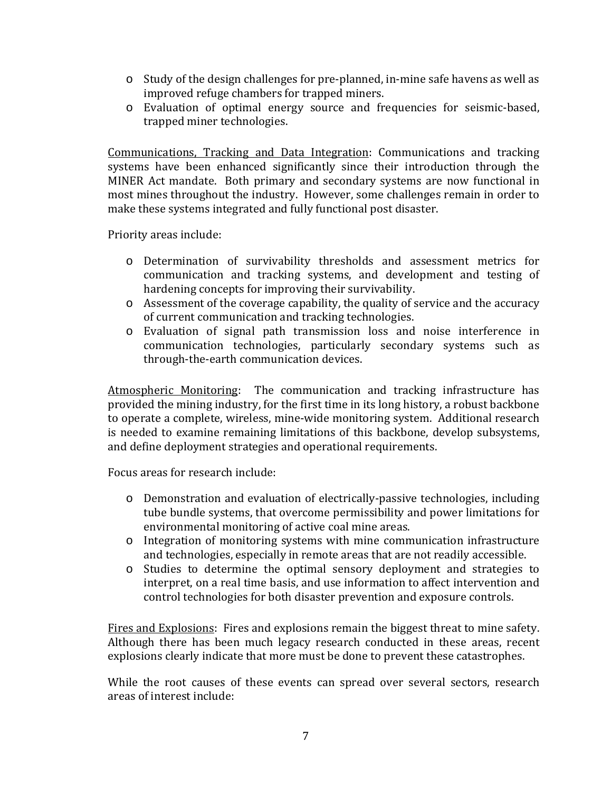- o Study of the design challenges for pre-planned, in-mine safe havens as well as improved refuge chambers for trapped miners.
- o Evaluation of optimal energy source and frequencies for seismic‐based, trapped miner technologies.

Communications, Tracking and Data Integration: Communications and tracking systems have been enhanced significantly since their introduction through the MINER Act mandate. Both primary and secondary systems are now functional in most mines throughout the industry. However, some challenges remain in order to make these systems integrated and fully functional post disaster.

Priority areas include:

- o Determination of survivability thresholds and assessment metrics for communication and tracking systems, and development and testing of hardening concepts for improving their survivability.
- $\circ$  Assessment of the coverage capability, the quality of service and the accuracy of current communication and tracking technologies.
- o Evaluation of signal path transmission loss and noise interference in communication technologies, particularly secondary systems such as through-the-earth communication devices.

Atmospheric Monitoring: The communication and tracking infrastructure has provided the mining industry, for the first time in its long history, a robust backbone to operate a complete, wireless, mine-wide monitoring system. Additional research is needed to examine remaining limitations of this backbone, develop subsystems, and define deployment strategies and operational requirements.

Focus areas for research include:

- o Demonstration and evaluation of electrically-passive technologies, including tube bundle systems, that overcome permissibility and power limitations for environmental monitoring of active coal mine areas.
- $\circ$  Integration of monitoring systems with mine communication infrastructure and technologies, especially in remote areas that are not readily accessible.
- o Studies to determine the optimal sensory deployment and strategies to interpret, on a real time basis, and use information to affect intervention and control technologies for both disaster prevention and exposure controls.

Fires and Explosions: Fires and explosions remain the biggest threat to mine safety. Although there has been much legacy research conducted in these areas, recent explosions clearly indicate that more must be done to prevent these catastrophes.

While the root causes of these events can spread over several sectors, research areas of interest include: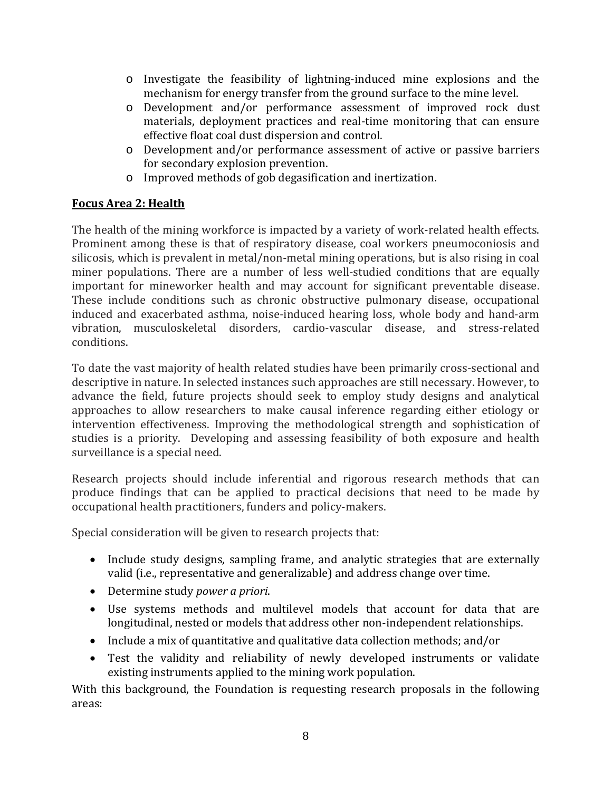- $\circ$  Investigate the feasibility of lightning-induced mine explosions and the mechanism for energy transfer from the ground surface to the mine level.
- o Development and/or performance assessment of improved rock dust materials, deployment practices and real-time monitoring that can ensure effective float coal dust dispersion and control.
- o Development and/or performance assessment of active or passive barriers for secondary explosion prevention.
- o Improved methods of gob degasification and inertization.

### **Focus Area 2: Health**

The health of the mining workforce is impacted by a variety of work-related health effects. Prominent among these is that of respiratory disease, coal workers pneumoconiosis and silicosis, which is prevalent in metal/non-metal mining operations, but is also rising in coal miner populations. There are a number of less well-studied conditions that are equally important for mineworker health and may account for significant preventable disease. These include conditions such as chronic obstructive pulmonary disease, occupational induced and exacerbated asthma, noise-induced hearing loss, whole body and hand-arm vibration, musculoskeletal disorders, cardio-vascular disease, and stress-related conditions. 

To date the vast majority of health related studies have been primarily cross-sectional and descriptive in nature. In selected instances such approaches are still necessary. However, to advance the field, future projects should seek to employ study designs and analytical approaches to allow researchers to make causal inference regarding either etiology or intervention effectiveness. Improving the methodological strength and sophistication of studies is a priority. Developing and assessing feasibility of both exposure and health surveillance is a special need.

Research projects should include inferential and rigorous research methods that can produce findings that can be applied to practical decisions that need to be made by occupational health practitioners, funders and policy-makers.

Special consideration will be given to research projects that:

- Include study designs, sampling frame, and analytic strategies that are externally valid (i.e., representative and generalizable) and address change over time.
- Determine study *power a priori*.
- Use systems methods and multilevel models that account for data that are longitudinal, nested or models that address other non-independent relationships.
- Include a mix of quantitative and qualitative data collection methods; and/or
- Test the validity and reliability of newly developed instruments or validate existing instruments applied to the mining work population.

With this background, the Foundation is requesting research proposals in the following areas: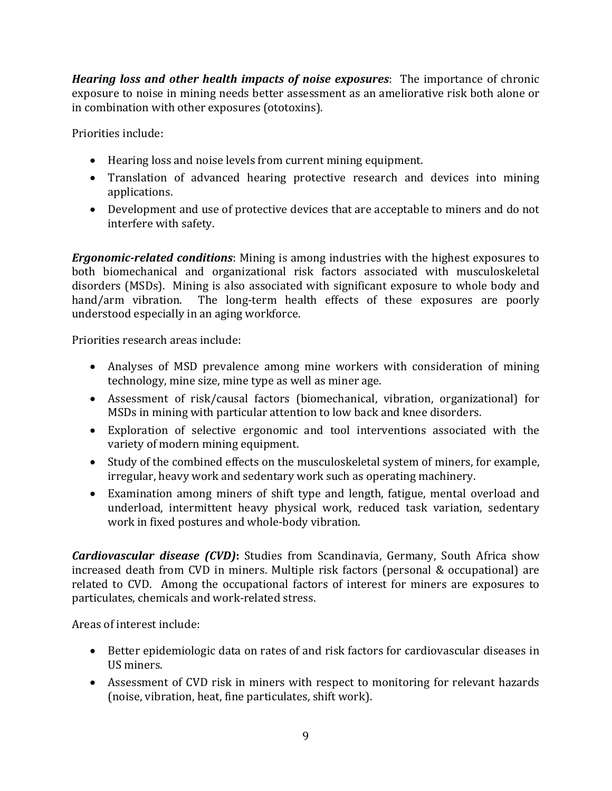*Hearing* loss and other health *impacts* of noise exposures: The importance of chronic exposure to noise in mining needs better assessment as an ameliorative risk both alone or in combination with other exposures (ototoxins).

Priorities include:

- Hearing loss and noise levels from current mining equipment.
- Translation of advanced hearing protective research and devices into mining applications.
- Development and use of protective devices that are acceptable to miners and do not interfere with safety.

*Ergonomic-related conditions:* Mining is among industries with the highest exposures to both biomechanical and organizational risk factors associated with musculoskeletal disorders (MSDs). Mining is also associated with significant exposure to whole body and hand/arm vibration. The long-term health effects of these exposures are poorly understood especially in an aging workforce.

Priorities research areas include:

- Analyses of MSD prevalence among mine workers with consideration of mining technology, mine size, mine type as well as miner age.
- Assessment of risk/causal factors (biomechanical, vibration, organizational) for MSDs in mining with particular attention to low back and knee disorders.
- Exploration of selective ergonomic and tool interventions associated with the variety of modern mining equipment.
- Study of the combined effects on the musculoskeletal system of miners, for example, irregular, heavy work and sedentary work such as operating machinery.
- Examination among miners of shift type and length, fatigue, mental overload and underload, intermittent heavy physical work, reduced task variation, sedentary work in fixed postures and whole-body vibration.

*Cardiovascular disease (CVD)*: Studies from Scandinavia, Germany, South Africa show increased death from CVD in miners. Multiple risk factors (personal & occupational) are related to CVD. Among the occupational factors of interest for miners are exposures to particulates, chemicals and work-related stress.

Areas of interest include:

- Better epidemiologic data on rates of and risk factors for cardiovascular diseases in US miners.
- Assessment of CVD risk in miners with respect to monitoring for relevant hazards (noise, vibration, heat, fine particulates, shift work).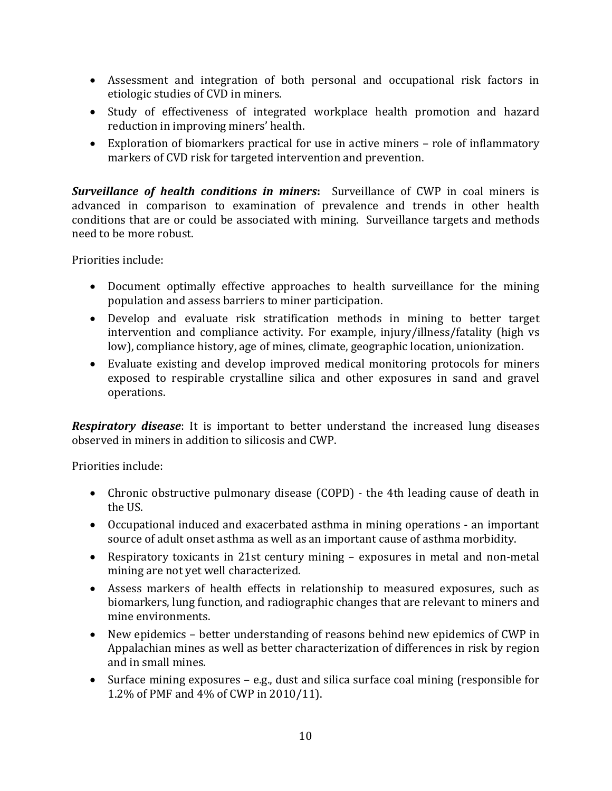- Assessment and integration of both personal and occupational risk factors in etiologic studies of CVD in miners.
- Study of effectiveness of integrated workplace health promotion and hazard reduction in improving miners' health.
- Exploration of biomarkers practical for use in active miners role of inflammatory markers of CVD risk for targeted intervention and prevention.

**Surveillance of health conditions in miners:** Surveillance of CWP in coal miners is advanced in comparison to examination of prevalence and trends in other health conditions that are or could be associated with mining. Surveillance targets and methods need to be more robust.

Priorities include:

- Document optimally effective approaches to health surveillance for the mining population and assess barriers to miner participation.
- Develop and evaluate risk stratification methods in mining to better target intervention and compliance activity. For example, injury/illness/fatality (high vs low), compliance history, age of mines, climate, geographic location, unionization.
- Evaluate existing and develop improved medical monitoring protocols for miners exposed to respirable crystalline silica and other exposures in sand and gravel operations.

*Respiratory disease*: It is important to better understand the increased lung diseases observed in miners in addition to silicosis and CWP.

Priorities include:

- Chronic obstructive pulmonary disease (COPD) the 4th leading cause of death in the US.
- Occupational induced and exacerbated asthma in mining operations an important source of adult onset asthma as well as an important cause of asthma morbidity.
- Respiratory toxicants in 21st century mining exposures in metal and non-metal mining are not yet well characterized.
- Assess markers of health effects in relationship to measured exposures, such as biomarkers, lung function, and radiographic changes that are relevant to miners and mine environments.
- New epidemics better understanding of reasons behind new epidemics of CWP in Appalachian mines as well as better characterization of differences in risk by region and in small mines.
- Surface mining exposures e.g., dust and silica surface coal mining (responsible for 1.2% of PMF and 4% of CWP in 2010/11).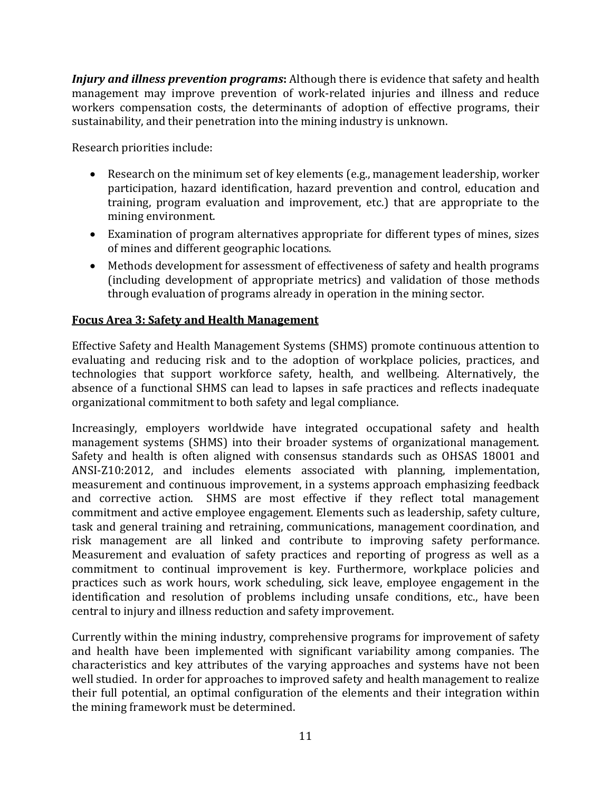*Injury* and *illness prevention programs*: Although there is evidence that safety and health management may improve prevention of work-related injuries and illness and reduce workers compensation costs, the determinants of adoption of effective programs, their sustainability, and their penetration into the mining industry is unknown.

Research priorities include:

- Research on the minimum set of key elements (e.g., management leadership, worker participation, hazard identification, hazard prevention and control, education and training, program evaluation and improvement, etc.) that are appropriate to the mining environment.
- Examination of program alternatives appropriate for different types of mines, sizes of mines and different geographic locations.
- Methods development for assessment of effectiveness of safety and health programs (including development of appropriate metrics) and validation of those methods through evaluation of programs already in operation in the mining sector.

#### **Focus Area 3: Safety and Health Management**

Effective Safety and Health Management Systems (SHMS) promote continuous attention to evaluating and reducing risk and to the adoption of workplace policies, practices, and technologies that support workforce safety, health, and wellbeing. Alternatively, the absence of a functional SHMS can lead to lapses in safe practices and reflects inadequate organizational commitment to both safety and legal compliance.

Increasingly, employers worldwide have integrated occupational safety and health management systems (SHMS) into their broader systems of organizational management. Safety and health is often aligned with consensus standards such as OHSAS 18001 and ANSI-Z10:2012, and includes elements associated with planning, implementation, measurement and continuous improvement, in a systems approach emphasizing feedback and corrective action. SHMS are most effective if they reflect total management commitment and active employee engagement. Elements such as leadership, safety culture, task and general training and retraining, communications, management coordination, and risk management are all linked and contribute to improving safety performance. Measurement and evaluation of safety practices and reporting of progress as well as a commitment to continual improvement is key. Furthermore, workplace policies and practices such as work hours, work scheduling, sick leave, employee engagement in the identification and resolution of problems including unsafe conditions, etc., have been central to injury and illness reduction and safety improvement.

Currently within the mining industry, comprehensive programs for improvement of safety and health have been implemented with significant variability among companies. The characteristics and key attributes of the varying approaches and systems have not been well studied. In order for approaches to improved safety and health management to realize their full potential, an optimal configuration of the elements and their integration within the mining framework must be determined.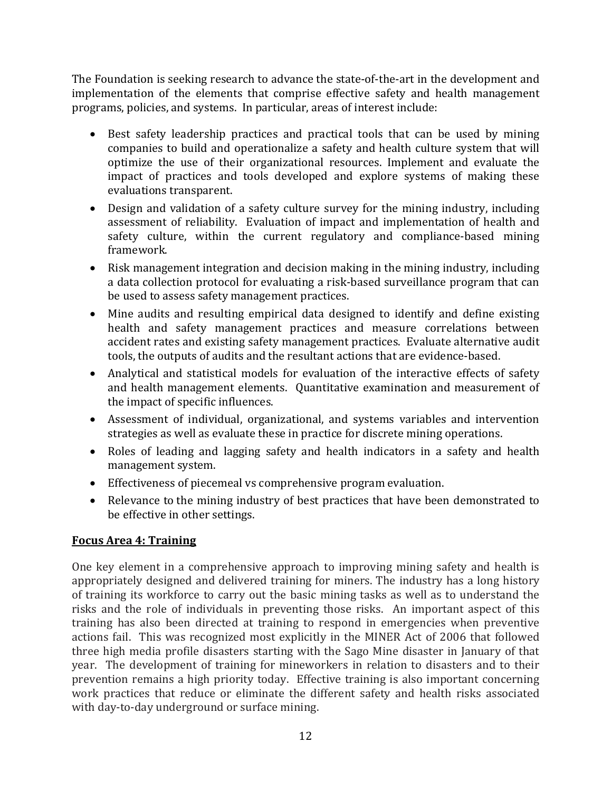The Foundation is seeking research to advance the state-of-the-art in the development and implementation of the elements that comprise effective safety and health management programs, policies, and systems. In particular, areas of interest include:

- Best safety leadership practices and practical tools that can be used by mining companies to build and operationalize a safety and health culture system that will optimize the use of their organizational resources. Implement and evaluate the impact of practices and tools developed and explore systems of making these evaluations transparent.
- Design and validation of a safety culture survey for the mining industry, including assessment of reliability. Evaluation of impact and implementation of health and safety culture, within the current regulatory and compliance-based mining framework.
- Risk management integration and decision making in the mining industry, including a data collection protocol for evaluating a risk-based surveillance program that can be used to assess safety management practices.
- Mine audits and resulting empirical data designed to identify and define existing health and safety management practices and measure correlations between accident rates and existing safety management practices. Evaluate alternative audit tools, the outputs of audits and the resultant actions that are evidence-based.
- Analytical and statistical models for evaluation of the interactive effects of safety and health management elements. Quantitative examination and measurement of the impact of specific influences.
- Assessment of individual, organizational, and systems variables and intervention strategies as well as evaluate these in practice for discrete mining operations.
- Roles of leading and lagging safety and health indicators in a safety and health management system.
- Effectiveness of piecemeal vs comprehensive program evaluation.
- Relevance to the mining industry of best practices that have been demonstrated to be effective in other settings.

### **Focus Area 4: Training**

One key element in a comprehensive approach to improving mining safety and health is appropriately designed and delivered training for miners. The industry has a long history of training its workforce to carry out the basic mining tasks as well as to understand the risks and the role of individuals in preventing those risks. An important aspect of this training has also been directed at training to respond in emergencies when preventive actions fail. This was recognized most explicitly in the MINER Act of 2006 that followed three high media profile disasters starting with the Sago Mine disaster in January of that year. The development of training for mineworkers in relation to disasters and to their prevention remains a high priority today. Effective training is also important concerning work practices that reduce or eliminate the different safety and health risks associated with day-to-day underground or surface mining.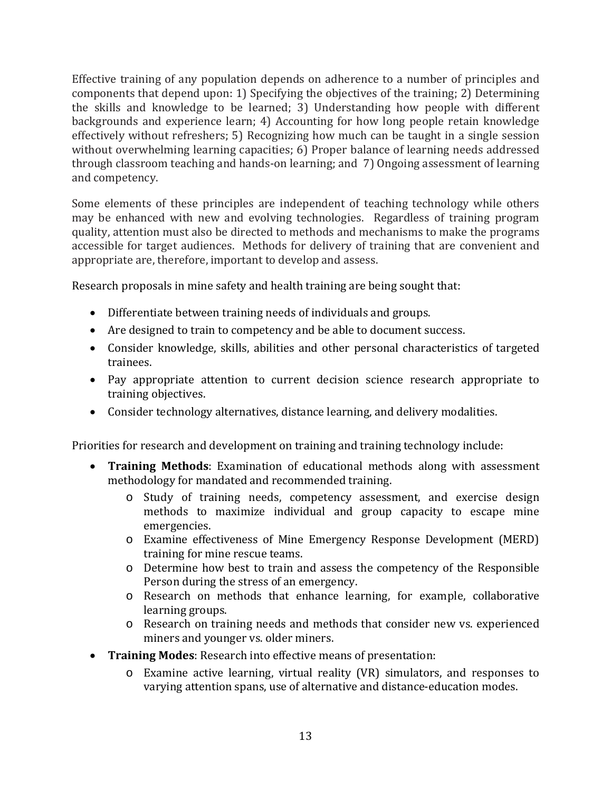Effective training of any population depends on adherence to a number of principles and components that depend upon: 1) Specifying the objectives of the training; 2) Determining the skills and knowledge to be learned; 3) Understanding how people with different backgrounds and experience learn; 4) Accounting for how long people retain knowledge effectively without refreshers; 5) Recognizing how much can be taught in a single session without overwhelming learning capacities; 6) Proper balance of learning needs addressed through classroom teaching and hands-on learning; and 7) Ongoing assessment of learning and competency.

Some elements of these principles are independent of teaching technology while others may be enhanced with new and evolving technologies. Regardless of training program quality, attention must also be directed to methods and mechanisms to make the programs accessible for target audiences. Methods for delivery of training that are convenient and appropriate are, therefore, important to develop and assess.

Research proposals in mine safety and health training are being sought that:

- Differentiate between training needs of individuals and groups.
- Are designed to train to competency and be able to document success.
- Consider knowledge, skills, abilities and other personal characteristics of targeted trainees.
- Pay appropriate attention to current decision science research appropriate to training objectives.
- Consider technology alternatives, distance learning, and delivery modalities.

Priorities for research and development on training and training technology include:

- **Training Methods**: Examination of educational methods along with assessment methodology for mandated and recommended training.
	- o Study of training needs, competency assessment, and exercise design methods to maximize individual and group capacity to escape mine emergencies.
	- o Examine effectiveness of Mine Emergency Response Development (MERD) training for mine rescue teams.
	- o Determine how best to train and assess the competency of the Responsible Person during the stress of an emergency.
	- o Research on methods that enhance learning, for example, collaborative learning groups.
	- o Research on training needs and methods that consider new vs. experienced miners and younger vs. older miners.
- Training Modes: Research into effective means of presentation:
	- $\circ$  Examine active learning, virtual reality (VR) simulators, and responses to varying attention spans, use of alternative and distance-education modes.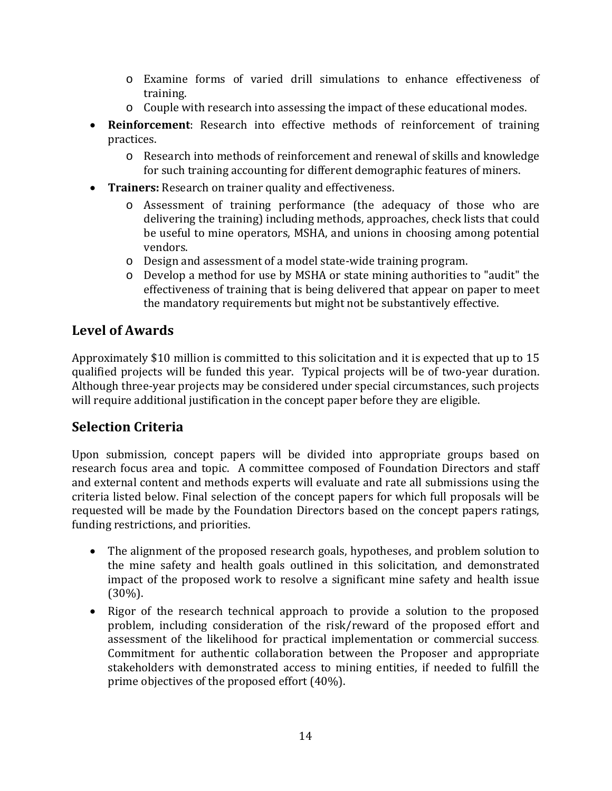- $\circ$  Examine forms of varied drill simulations to enhance effectiveness of training.
- $\circ$  Couple with research into assessing the impact of these educational modes.
- Reinforcement: Research into effective methods of reinforcement of training practic es.
	- o Research into methods of reinforcement and renewal of skills and knowledge for such training accounting for different demographic features of miners.
- Trainers: Research on trainer quality and effectiveness.
	- o Assessment of training performance (the adequacy of those who are delivering the training) including methods, approaches, check lists that could be useful to mine operators, MSHA, and unions in choosing among potential vendors.
	- o Design and assessment of a model state‐wide training program.
	- o Develop a method for use by MSHA or state mining authorities to "audit" the effectiveness of training that is being delivered that appear on paper to meet the mandatory requirements but might not be substantively effective.

# **Level of Awards**

Approximately \$10 million is committed to this solicitation and it is expected that up to 15 qualified projects will be funded this year. Typical projects will be of two-year duration. Although three-year projects may be considered under special circumstances, such projects will require additional justification in the concept paper before they are eligible.

# **Selection Criteria**

Upon submission, concept papers will be divided into appropriate groups based on research focus area and topic. A committee composed of Foundation Directors and staff and external content and methods experts will evaluate and rate all submissions using the criteria listed below. Final selection of the concept papers for which full proposals will be requested will be made by the Foundation Directors based on the concept papers ratings, funding restrictions, and priorities.

- The alignment of the proposed research goals, hypotheses, and problem solution to the mine safety and health goals outlined in this solicitation, and demonstrated impact of the proposed work to resolve a significant mine safety and health issue (30%).
- Rigor of the research technical approach to provide a solution to the proposed problem, including consideration of the risk/reward of the proposed effort and assessment of the likelihood for practical implementation or commercial success. Commitment for authentic collaboration between the Proposer and appropriate stakeholders with demonstrated access to mining entities, if needed to fulfill the prime objectives of the proposed effort  $(40\%)$ .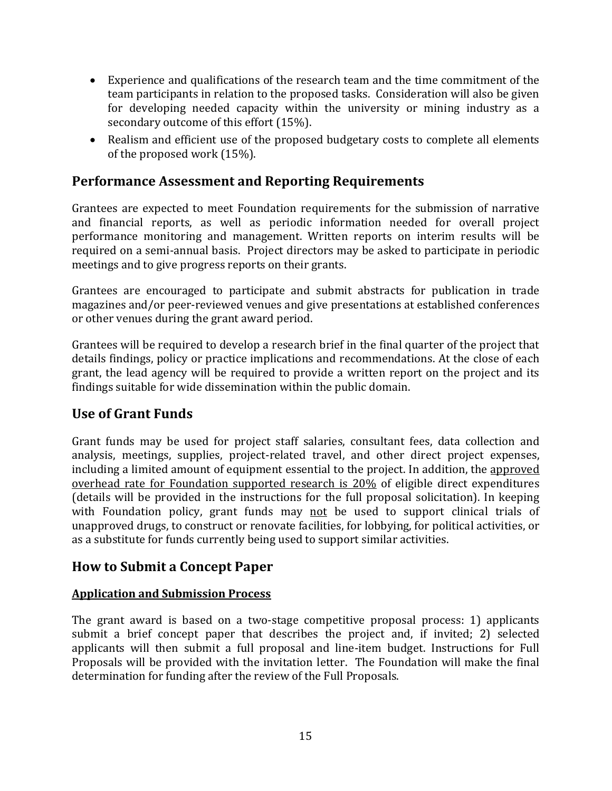- Experience and qualifications of the research team and the time commitment of the team participants in relation to the proposed tasks. Consideration will also be given for developing needed capacity within the university or mining industry as a secondary outcome of this effort (15%).
- Realism and efficient use of the proposed budgetary costs to complete all elements of the proposed work  $(15%)$ .

## **Performance Assessment and Reporting Requirements**

Grantees are expected to meet Foundation requirements for the submission of narrative and financial reports, as well as periodic information needed for overall project performance monitoring and management. Written reports on interim results will be required on a semi-annual basis. Project directors may be asked to participate in periodic meetings and to give progress reports on their grants.

Grantees are encouraged to participate and submit abstracts for publication in trade magazines and/or peer-reviewed venues and give presentations at established conferences or other venues during the grant award period.

Grantees will be required to develop a research brief in the final quarter of the project that details findings, policy or practice implications and recommendations. At the close of each grant, the lead agency will be required to provide a written report on the project and its findings suitable for wide dissemination within the public domain.

## **Use of Grant Funds**

Grant funds may be used for project staff salaries, consultant fees, data collection and analysis, meetings, supplies, project-related travel, and other direct project expenses, including a limited amount of equipment essential to the project. In addition, the approved overhead rate for Foundation supported research is  $20\%$  of eligible direct expenditures (details will be provided in the instructions for the full proposal solicitation). In keeping with Foundation policy, grant funds may not be used to support clinical trials of unapproved drugs, to construct or renovate facilities, for lobbying, for political activities, or as a substitute for funds currently being used to support similar activities.

### **How to Submit a Concept Paper**

#### **Application and Submission Process**

The grant award is based on a two-stage competitive proposal process: 1) applicants submit a brief concept paper that describes the project and, if invited; 2) selected applicants will then submit a full proposal and line-item budget. Instructions for Full Proposals will be provided with the invitation letter. The Foundation will make the final determination for funding after the review of the Full Proposals.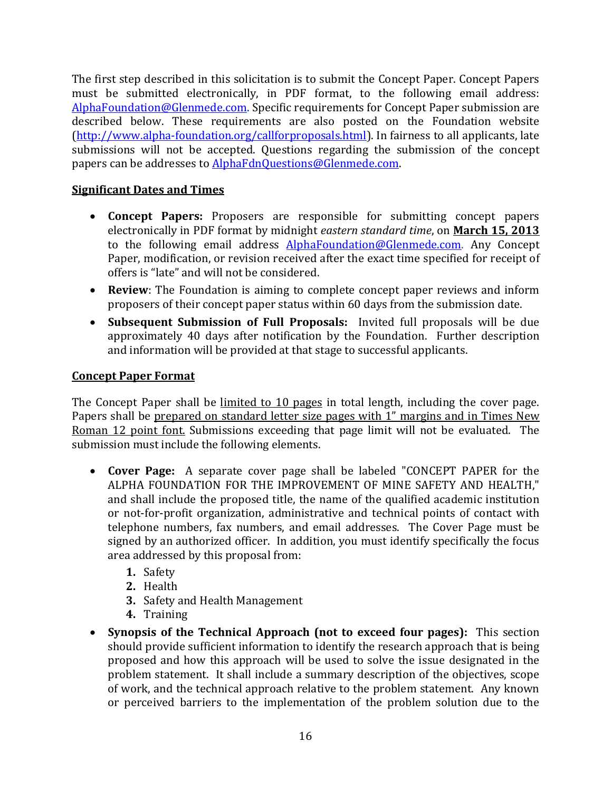The first step described in this solicitation is to submit the Concept Paper. Concept Papers must be submitted electronically, in PDF format, to the following email address: [AlphaFoundation@Glenmede.com](mailto:AlphaFoundation@Glenmede.com). Specific requirements for Concept Paper submission are described below. These requirements are also posted on the Foundation website (http://www.alpha-foundation.org/callforproposals.html). In fairness to all applicants, late submissions will not be accepted. Questions regarding the submission of the concept papers can be addresses to AlphaFdnQuestions@Glenmede.com.

### **Significant Dates and Times**

- Concept Papers: Proposers are responsible for submitting concept papers electronically in PDF format by midnight *eastern standard time*, on **March 15, 2013** to the following email address  $Alpha$ Foundation@Glenmede.com. Any Concept Paper, modification, or revision received after the exact time specified for receipt of offers is "late" and will not be considered.
- **Review**: The Foundation is aiming to complete concept paper reviews and inform proposers of their concept paper status within 60 days from the submission date.
- Subsequent Submission of Full Proposals: Invited full proposals will be due approximately 40 days after notification by the Foundation. Further description and information will be provided at that stage to successful applicants.

#### **Concept Paper Format**

The Concept Paper shall be limited to 10 pages in total length, including the cover page. Papers shall be prepared on standard letter size pages with 1" margins and in Times New Roman 12 point font. Submissions exceeding that page limit will not be evaluated. The submission must include the following elements.

- Cover Page: A separate cover page shall be labeled "CONCEPT PAPER for the ALPHA FOUNDATION FOR THE IMPROVEMENT OF MINE SAFETY AND HEALTH." and shall include the proposed title, the name of the qualified academic institution or not-for-profit organization, administrative and technical points of contact with telephone numbers, fax numbers, and email addresses. The Cover Page must be signed by an authorized officer. In addition, you must identify specifically the focus area addressed by this proposal from:
	- **1.** Safety
	- **2.** Health
	- **3.** Safety and Health Management
	- **4.** Training
- **Synopsis of the Technical Approach (not to exceed four pages):** This section should provide sufficient information to identify the research approach that is being proposed and how this approach will be used to solve the issue designated in the problem statement. It shall include a summary description of the objectives, scope of work, and the technical approach relative to the problem statement. Any known or perceived barriers to the implementation of the problem solution due to the